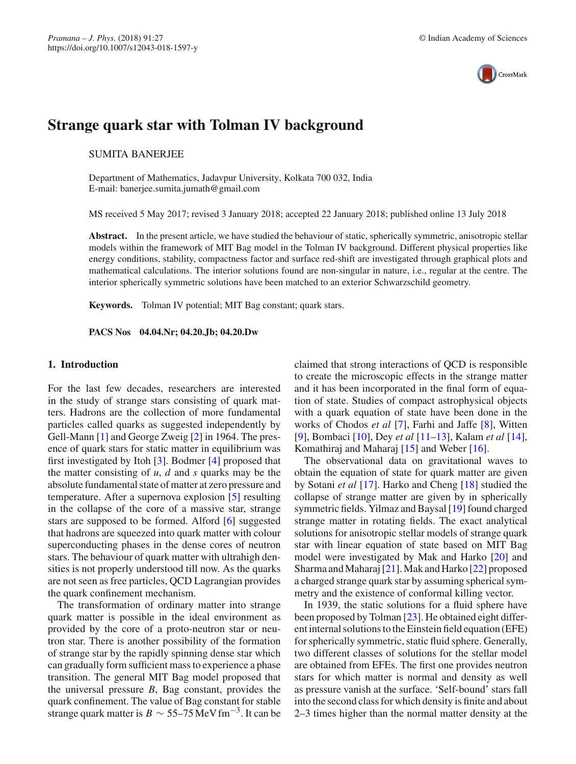

# **Strange quark star with Tolman IV background**

## SUMITA BANERJEE

Department of Mathematics, Jadavpur University, Kolkata 700 032, India E-mail: banerjee.sumita.jumath@gmail.com

MS received 5 May 2017; revised 3 January 2018; accepted 22 January 2018; published online 13 July 2018

Abstract. In the present article, we have studied the behaviour of static, spherically symmetric, anisotropic stellar models within the framework of MIT Bag model in the Tolman IV background. Different physical properties like energy conditions, stability, compactness factor and surface red-shift are investigated through graphical plots and mathematical calculations. The interior solutions found are non-singular in nature, i.e., regular at the centre. The interior spherically symmetric solutions have been matched to an exterior Schwarzschild geometry.

**Keywords.** Tolman IV potential; MIT Bag constant; quark stars.

**PACS Nos 04.04.Nr; 04.20.Jb; 04.20.Dw**

### **1. Introduction**

For the last few decades, researchers are interested in the study of strange stars consisting of quark matters. Hadrons are the collection of more fundamental particles called quarks as suggested independently by Gell-Mann [\[1\]](#page-9-0) and George Zweig [\[2](#page-9-1)] in 1964. The presence of quark stars for static matter in equilibrium was first investigated by Itoh [\[3\]](#page-9-2). Bodmer [\[4](#page-9-3)] proposed that the matter consisting of *u*, *d* and *s* quarks may be the absolute fundamental state of matter at zero pressure and temperature. After a supernova explosion [\[5](#page-9-4)] resulting in the collapse of the core of a massive star, strange stars are supposed to be formed. Alford [\[6](#page-9-5)] suggested that hadrons are squeezed into quark matter with colour superconducting phases in the dense cores of neutron stars. The behaviour of quark matter with ultrahigh densities is not properly understood till now. As the quarks are not seen as free particles, QCD Lagrangian provides the quark confinement mechanism.

The transformation of ordinary matter into strange quark matter is possible in the ideal environment as provided by the core of a proto-neutron star or neutron star. There is another possibility of the formation of strange star by the rapidly spinning dense star which can gradually form sufficient mass to experience a phase transition. The general MIT Bag model proposed that the universal pressure *B*, Bag constant, provides the quark confinement. The value of Bag constant for stable strange quark matter is  $B \sim 55-75 \,\text{MeV fm}^{-3}$ . It can be claimed that strong interactions of QCD is responsible to create the microscopic effects in the strange matter and it has been incorporated in the final form of equation of state. Studies of compact astrophysical objects with a quark equation of state have been done in the works of Chodos *et al* [\[7](#page-9-6)], Farhi and Jaffe [\[8](#page-9-7)], Witten [\[9\]](#page-9-8), Bombaci [\[10](#page-9-9)], Dey *et al* [\[11](#page-9-10)[–13\]](#page-9-11), Kalam *et al* [\[14](#page-9-12)], Komathiraj and Maharaj [\[15](#page-9-13)] and Weber [\[16\]](#page-9-14).

The observational data on gravitational waves to obtain the equation of state for quark matter are given by Sotani *et al* [\[17\]](#page-9-15). Harko and Cheng [\[18](#page-9-16)] studied the collapse of strange matter are given by in spherically symmetric fields. Yilmaz and Baysal [\[19](#page-9-17)] found charged strange matter in rotating fields. The exact analytical solutions for anisotropic stellar models of strange quark star with linear equation of state based on MIT Bag model were investigated by Mak and Harko [\[20](#page-9-18)] and Sharma and Maharaj [\[21\]](#page-9-19). Mak and Harko [\[22](#page-9-20)] proposed a charged strange quark star by assuming spherical symmetry and the existence of conformal killing vector.

In 1939, the static solutions for a fluid sphere have been proposed by Tolman [\[23\]](#page-9-21). He obtained eight different internal solutions to the Einstein field equation (EFE) for spherically symmetric, static fluid sphere. Generally, two different classes of solutions for the stellar model are obtained from EFEs. The first one provides neutron stars for which matter is normal and density as well as pressure vanish at the surface. 'Self-bound' stars fall into the second class for which density is finite and about 2–3 times higher than the normal matter density at the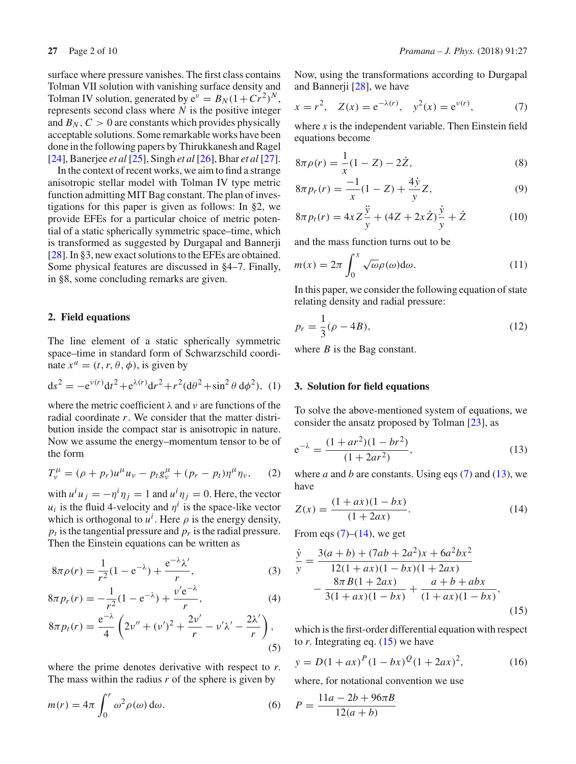surface where pressure vanishes. The first class contains Tolman VII solution with vanishing surface density and Tolman IV solution, generated by  $e^{\nu} = B_N(1 + Cr^2)^N$ , represents second class where *N* is the positive integer and  $B_N$ ,  $C > 0$  are constants which provides physically acceptable solutions. Some remarkable works have been done in the following papers by Thirukkanesh and Ragel [\[24](#page-9-22)], Banerjee *et al* [\[25\]](#page-9-23), Singh *et al* [\[26](#page-9-24)], Bhar *et al* [\[27](#page-9-25)].

In the context of recent works, we aim to find a strange anisotropic stellar model with Tolman IV type metric function admitting MIT Bag constant. The plan of investigations for this paper is given as follows: In §2, we provide EFEs for a particular choice of metric potential of a static spherically symmetric space–time, which is transformed as suggested by Durgapal and Bannerji [\[28](#page-9-26)]. In §3, new exact solutions to the EFEs are obtained. Some physical features are discussed in §4–7. Finally, in §8, some concluding remarks are given.

#### **2. Field equations**

The line element of a static spherically symmetric space–time in standard form of Schwarzschild coordinate  $x^a = (t, r, \theta, \phi)$ , is given by

$$
ds^{2} = -e^{\nu(r)}dt^{2} + e^{\lambda(r)}dr^{2} + r^{2}(d\theta^{2} + \sin^{2}\theta d\phi^{2}), (1)
$$

where the metric coefficient  $\lambda$  and  $\nu$  are functions of the radial coordinate *r*. We consider that the matter distribution inside the compact star is anisotropic in nature. Now we assume the energy–momentum tensor to be of the form

$$
T_{\nu}^{\mu} = (\rho + p_r)u^{\mu}u_{\nu} - p_t g_{\nu}^{\mu} + (p_r - p_t)\eta^{\mu}\eta_{\nu}, \quad (2)
$$

with  $u^i u_j = -\eta^i \eta_j = 1$  and  $u^i \eta_j = 0$ . Here, the vector  $u_i$  is the fluid 4-velocity and  $\eta^i$  is the space-like vector which is orthogonal to  $u^i$ . Here  $\rho$  is the energy density,  $p_t$  is the tangential pressure and  $p_t$  is the radial pressure. Then the Einstein equations can be written as

<span id="page-1-4"></span>
$$
8\pi \rho(r) = \frac{1}{r^2} (1 - e^{-\lambda}) + \frac{e^{-\lambda} \lambda'}{r},
$$
 (3)

$$
8\pi p_r(r) = -\frac{1}{r^2}(1 - e^{-\lambda}) + \frac{v'e^{-\lambda}}{r},\tag{4}
$$

$$
8\pi p_t(r) = \frac{e^{-\lambda}}{4} \left( 2v'' + (v')^2 + \frac{2v'}{r} - v'\lambda' - \frac{2\lambda'}{r} \right),\tag{5}
$$

where the prime denotes derivative with respect to *r*. The mass within the radius *r* of the sphere is given by

$$
m(r) = 4\pi \int_0^r \omega^2 \rho(\omega) d\omega.
$$
 (6)

Now, using the transformations according to Durgapal and Bannerji [\[28](#page-9-26)], we have

<span id="page-1-0"></span>
$$
x = r^2
$$
,  $Z(x) = e^{-\lambda(r)}$ ,  $y^2(x) = e^{v(r)}$ , (7)

where  $x$  is the independent variable. Then Einstein field equations become

$$
8\pi \rho(r) = \frac{1}{x}(1 - Z) - 2\dot{Z},
$$
\n(8)

$$
8\pi p_r(r) = \frac{-1}{x}(1-Z) + \frac{4\dot{y}}{y}Z,\tag{9}
$$

$$
8\pi p_t(r) = 4xZ\frac{\ddot{y}}{y} + (4Z + 2x\dot{Z})\frac{\dot{y}}{y} + \dot{Z}
$$
 (10)

and the mass function turns out to be

$$
m(x) = 2\pi \int_0^x \sqrt{\omega} \rho(\omega) d\omega.
$$
 (11)

In this paper, we consider the following equation of state relating density and radial pressure:

$$
p_r = \frac{1}{3}(\rho - 4B),
$$
\n(12)

where *B* is the Bag constant.

#### **3. Solution for field equations**

To solve the above-mentioned system of equations, we consider the ansatz proposed by Tolman [\[23\]](#page-9-21), as

<span id="page-1-1"></span>
$$
e^{-\lambda} = \frac{(1 + ar^2)(1 - br^2)}{(1 + 2ar^2)},
$$
\n(13)

<span id="page-1-2"></span>where *a* and *b* are constants. Using eqs  $(7)$  and  $(13)$ , we have

$$
Z(x) = \frac{(1+ax)(1-bx)}{(1+2ax)}.\t(14)
$$

From eqs  $(7)$ – $(14)$ , we get

$$
\frac{\dot{y}}{y} = \frac{3(a+b) + (7ab + 2a^2)x + 6a^2bx^2}{12(1+ax)(1-bx)(1+2ax)} - \frac{8\pi B(1+2ax)}{3(1+ax)(1-bx)} + \frac{a+b+abx}{(1+ax)(1-bx)},
$$
\n(15)

<span id="page-1-3"></span>which is the first-order differential equation with respect to  $r$ . Integrating eq.  $(15)$  we have

$$
y = D(1 + ax)^P (1 - bx)^Q (1 + 2ax)^2,
$$
 (16)

where, for notational convention we use

$$
P = \frac{11a - 2b + 96\pi B}{12(a + b)}
$$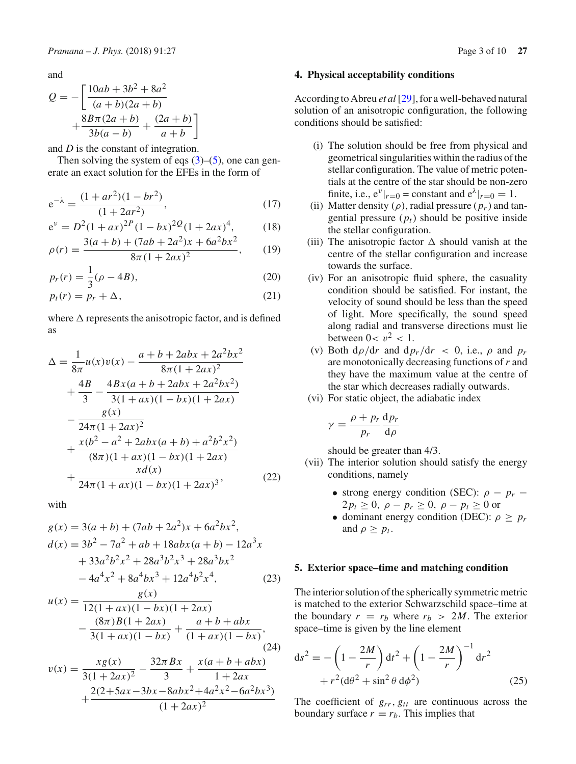and

$$
Q = -\left[\frac{10ab + 3b^2 + 8a^2}{(a+b)(2a+b)} + \frac{8B\pi(2a+b)}{3b(a-b)} + \frac{(2a+b)}{a+b}\right]
$$

and *D* is the constant of integration.

Then solving the system of eqs  $(3)$ – $(5)$ , one can generate an exact solution for the EFEs in the form of

<span id="page-2-0"></span>
$$
e^{-\lambda} = \frac{(1 + ar^2)(1 - br^2)}{(1 + 2ar^2)},
$$
\n(17)

$$
e^{v} = D^{2}(1+ax)^{2P}(1-bx)^{2Q}(1+2ax)^{4}, \qquad (18)
$$

$$
\rho(r) = \frac{3(a+b) + (7ab + 2a^2)x + 6a^2bx^2}{8\pi(1+2ax)^2},
$$
 (19)

$$
p_r(r) = \frac{1}{3}(\rho - 4B),
$$
\n(20)

$$
p_t(r) = p_r + \Delta,\tag{21}
$$

where  $\Delta$  represents the anisotropic factor, and is defined as

$$
\Delta = \frac{1}{8\pi}u(x)v(x) - \frac{a+b+2abx+2a^2bx^2}{8\pi(1+2ax)^2} \n+ \frac{4B}{3} - \frac{4Bx(a+b+2abx+2a^2bx^2)}{3(1+ax)(1-bx)(1+2ax)} \n- \frac{g(x)}{24\pi(1+2ax)^2} \n+ \frac{x(b^2-a^2+2abx(a+b)+a^2b^2x^2)}{(8\pi)(1+ax)(1-bx)(1+2ax)} \n+ \frac{xd(x)}{24\pi(1+ax)(1-bx)(1+2ax)^3},
$$
\n(22)

with

 $^{+}$ 

$$
g(x) = 3(a + b) + (7ab + 2a^{2})x + 6a^{2}bx^{2},
$$
  
\n
$$
d(x) = 3b^{2} - 7a^{2} + ab + 18abx(a + b) - 12a^{3}x
$$
  
\n
$$
+ 33a^{2}b^{2}x^{2} + 28a^{3}b^{2}x^{3} + 28a^{3}bx^{2}
$$
  
\n
$$
- 4a^{4}x^{2} + 8a^{4}bx^{3} + 12a^{4}b^{2}x^{4},
$$
\n(23)

$$
u(x) = \frac{g(x)}{12(1+ax)(1-bx)(1+2ax)}
$$
  
 
$$
-\frac{(8\pi)B(1+2ax)}{3(1+ax)(1-bx)} + \frac{a+b+abx}{(1+ax)(1-bx)},
$$
  
\n
$$
v(x) = \frac{xg(x)}{3(1+2ax)^2} - \frac{32\pi Bx}{3} + \frac{x(a+b+abx)}{1+2ax}
$$
  
\n
$$
2(2+5ax-3bx-8abx^2+4a^2x^2-6a^2bx^3)
$$

 $(1 + 2ax)^2$ 

#### **4. Physical acceptability conditions**

According to Abreu *et al* [\[29](#page-9-27)], for a well-behaved natural solution of an anisotropic configuration, the following conditions should be satisfied:

- (i) The solution should be free from physical and geometrical singularities within the radius of the stellar configuration. The value of metric potentials at the centre of the star should be non-zero finite, i.e.,  $e^{\nu}|_{r=0} = constant$  and  $e^{\lambda}|_{r=0} = 1$ .
- (ii) Matter density  $(\rho)$ , radial pressure  $(p_r)$  and tangential pressure  $(p_t)$  should be positive inside the stellar configuration.
- (iii) The anisotropic factor  $\Delta$  should vanish at the centre of the stellar configuration and increase towards the surface.
- (iv) For an anisotropic fluid sphere, the casuality condition should be satisfied. For instant, the velocity of sound should be less than the speed of light. More specifically, the sound speed along radial and transverse directions must lie between  $0 < v^2 < 1$ .
- (v) Both  $d\rho/dr$  and  $d\rho_r/dr < 0$ , i.e.,  $\rho$  and  $p_r$ are monotonically decreasing functions of*r* and they have the maximum value at the centre of the star which decreases radially outwards.
- (vi) For static object, the adiabatic index

$$
\gamma = \frac{\rho + p_r}{p_r} \frac{\mathrm{d}p_r}{\mathrm{d}\rho}
$$

should be greater than 4/3.

- (vii) The interior solution should satisfy the energy conditions, namely
	- strong energy condition (SEC):  $\rho p_r$   $2p_t \geq 0$ ,  $\rho - p_r \geq 0$ ,  $\rho - p_t \geq 0$  or
	- dominant energy condition (DEC):  $\rho \geq p_r$ and  $\rho \geq p_t$ .

## **5. Exterior space–time and matching condition**

The interior solution of the spherically symmetric metric is matched to the exterior Schwarzschild space–time at the boundary  $r = r_b$  where  $r_b > 2M$ . The exterior space–time is given by the line element

$$
ds^{2} = -\left(1 - \frac{2M}{r}\right)dt^{2} + \left(1 - \frac{2M}{r}\right)^{-1}dr^{2} + r^{2}(d\theta^{2} + \sin^{2}\theta \, d\phi^{2})
$$
\n(25)

The coefficient of  $g_{rr}$ ,  $g_{tt}$  are continuous across the boundary surface  $r = r_b$ . This implies that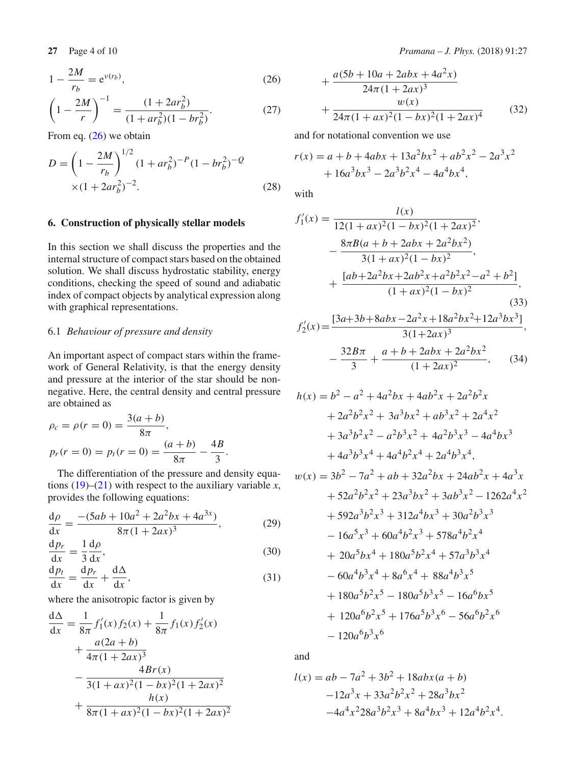<span id="page-3-0"></span>
$$
1 - \frac{2M}{r_b} = e^{\nu(r_b)},
$$
\n(26)

$$
\left(1 - \frac{2M}{r}\right)^{-1} = \frac{(1 + 2ar_b^2)}{(1 + ar_b^2)(1 - br_b^2)}.
$$
\n(27)

From eq. [\(26\)](#page-3-0) we obtain

$$
D = \left(1 - \frac{2M}{r_b}\right)^{1/2} (1 + ar_b^2)^{-P} (1 - br_b^2)^{-Q}
$$
  
×(1 + 2ar\_b^2)^{-2}. (28)

### **6. Construction of physically stellar models**

In this section we shall discuss the properties and the internal structure of compact stars based on the obtained solution. We shall discuss hydrostatic stability, energy conditions, checking the speed of sound and adiabatic index of compact objects by analytical expression along with graphical representations.

## 6.1 *Behaviour of pressure and density*

An important aspect of compact stars within the framework of General Relativity, is that the energy density and pressure at the interior of the star should be nonnegative. Here, the central density and central pressure are obtained as

$$
\rho_c = \rho(r = 0) = \frac{3(a + b)}{8\pi},
$$
  
\n
$$
p_r(r = 0) = p_t(r = 0) = \frac{(a + b)}{8\pi} - \frac{4B}{3}.
$$

The differentiation of the pressure and density equations  $(19)$ – $(21)$  with respect to the auxiliary variable *x*, provides the following equations:

$$
\frac{d\rho}{dx} = \frac{-(5ab + 10a^2 + 2a^2bx + 4a^{3x})}{8\pi(1 + 2ax)^3},
$$
\n(29)

$$
\frac{\mathrm{d}p_r}{\mathrm{d}x} = \frac{1}{3}\frac{\mathrm{d}\rho}{\mathrm{d}x},\tag{30}
$$

$$
\frac{\mathrm{d}p_t}{\mathrm{d}x} = \frac{\mathrm{d}p_r}{\mathrm{d}x} + \frac{\mathrm{d}\Delta}{\mathrm{d}x},\tag{31}
$$

where the anisotropic factor is given by

$$
\frac{d\Delta}{dx} = \frac{1}{8\pi} f'_1(x) f_2(x) + \frac{1}{8\pi} f_1(x) f'_2(x)
$$
  
+ 
$$
\frac{a(2a+b)}{4\pi (1+2ax)^3}
$$
  
- 
$$
\frac{4Br(x)}{3(1+ax)^2(1-bx)^2(1+2ax)^2}
$$
  
+ 
$$
\frac{h(x)}{8\pi (1+ax)^2(1-bx)^2(1+2ax)^2}
$$

$$
+\frac{a(5b+10a+2abx+4a^{2}x)}{24\pi(1+2ax)^{3}} + \frac{w(x)}{24\pi(1+ax)^{2}(1-bx)^{2}(1+2ax)^{4}}
$$
(32)

and for notational convention we use

$$
r(x) = a + b + 4abx + 13a^{2}bx^{2} + ab^{2}x^{2} - 2a^{3}x^{2}
$$

$$
+ 16a^{3}bx^{3} - 2a^{3}b^{2}x^{4} - 4a^{4}bx^{4},
$$

with

$$
f'_1(x) = \frac{l(x)}{12(1+ax)^2(1-bx)^2(1+2ax)^2},
$$
  
\n
$$
-\frac{8\pi B(a+b+2abx+2a^2bx^2)}{3(1+ax)^2(1-bx)^2},
$$
  
\n
$$
+\frac{[ab+2a^2bx+2ab^2x+a^2b^2x^2-a^2+b^2]}{(1+ax)^2(1-bx)^2},
$$
  
\n(33)  
\n
$$
f'_2(x) = \frac{[3a+3b+8abx-2a^2x+18a^2bx^2+12a^3bx^3]}{2(1+a^2+a^2b^2+12a^3bx^3)},
$$

$$
S_2'(x) = \frac{[3a+3b+8abx-2a^2x+18a^2bx^2+12a^3bx^3]}{3(1+2ax)^3},
$$

$$
-\frac{32B\pi}{3} + \frac{a+b+2abx+2a^2bx^2}{(1+2ax)^2},
$$
(34)

$$
h(x) = b2 - a2 + 4a2bx + 4ab2x + 2a2b2x + 2a2b2x2 + 3a3bx2 + ab3x2 + 2a4x2 + 3a3b2x2 - a2b3x2 + 4a2b3x3 - 4a4bx3 + 4a3b3x4 + 4a4b2x4 + 2a4b3x4,
$$

$$
w(x) = 3b^2 - 7a^2 + ab + 32a^2bx + 24ab^2x + 4a^3x
$$
  
+  $52a^2b^2x^2 + 23a^3bx^2 + 3ab^3x^2 - 1262a^4x^2$   
+  $592a^3b^2x^3 + 312a^4bx^3 + 30a^2b^3x^3$   
-  $16a^5x^3 + 60a^4b^2x^3 + 578a^4b^2x^4$   
+  $20a^5bx^4 + 180a^5b^2x^4 + 57a^3b^3x^4$   
-  $60a^4b^3x^4 + 8a^6x^4 + 88a^4b^3x^5$   
+  $180a^5b^2x^5 - 180a^5b^3x^5 - 16a^6bx^5$   
+  $120a^6b^2x^5 + 176a^5b^3x^6 - 56a^6b^2x^6$   
-  $120a^6b^3x^6$ 

and

$$
l(x) = ab - 7a^{2} + 3b^{2} + 18abx(a + b)
$$
  
-12a<sup>3</sup>x + 33a<sup>2</sup>b<sup>2</sup>x<sup>2</sup> + 28a<sup>3</sup>bx<sup>2</sup>  
-4a<sup>4</sup>x<sup>2</sup>28a<sup>3</sup>b<sup>2</sup>x<sup>3</sup> + 8a<sup>4</sup>bx<sup>3</sup> + 12a<sup>4</sup>b<sup>2</sup>x<sup>4</sup>.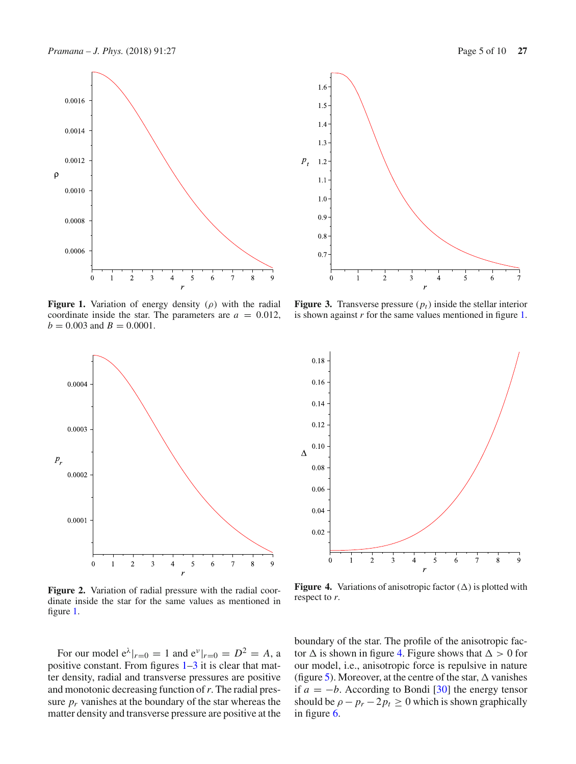0.0016

0.0014

0.0012

 $0.0010$ 

0.0008

0.0006

 $\rho$ 

<span id="page-4-0"></span> $\Omega$ **Figure 1.** Variation of energy density  $(\rho)$  with the radial coordinate inside the star. The parameters are  $a = 0.012$ ,  $b = 0.003$  and  $B = 0.0001$ .

**Figure 2.** Variation of radial pressure with the radial coordinate inside the star for the same values as mentioned in figure [1.](#page-4-0)

For our model  $e^{\lambda}|_{r=0} = 1$  and  $e^{\nu}|_{r=0} = D^2 = A$ , a positive constant. From figures  $1-3$  $1-3$  it is clear that matter density, radial and transverse pressures are positive and monotonic decreasing function of*r*. The radial pressure  $p_r$  vanishes at the boundary of the star whereas the matter density and transverse pressure are positive at the

boundary of the star. The profile of the anisotropic factor  $\Delta$  is shown in figure [4.](#page-4-2) Figure shows that  $\Delta > 0$  for our model, i.e., anisotropic force is repulsive in nature (figure [5\)](#page-5-0). Moreover, at the centre of the star,  $\Delta$  vanishes if  $a = -b$ . According to Bondi [\[30\]](#page-9-28) the energy tensor should be  $\rho - p_r - 2p_t \geq 0$  which is shown graphically in figure [6.](#page-5-1)

<span id="page-4-2"></span>respect to *r*.

<span id="page-4-1"></span>**Figure 3.** Transverse pressure  $(p_t)$  inside the stellar interior is shown against *r* for the same values mentioned in figure [1.](#page-4-0)







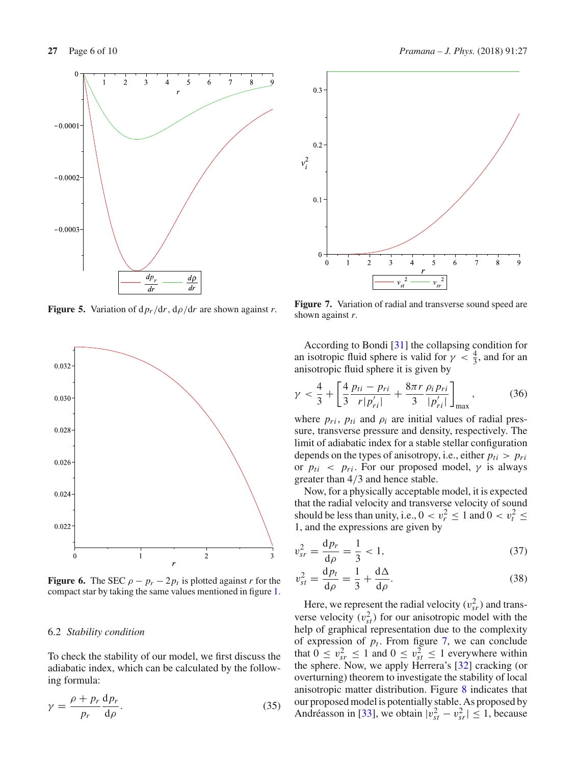

<span id="page-5-0"></span>**Figure 5.** Variation of  $dp_r/dr$ ,  $dp/dr$  are shown against *r*.



<span id="page-5-1"></span>**Figure 6.** The SEC  $\rho - p_r - 2p_t$  is plotted against *r* for the compact star by taking the same values mentioned in figure [1.](#page-4-0)

#### 6.2 *Stability condition*

To check the stability of our model, we first discuss the adiabatic index, which can be calculated by the following formula:

$$
\gamma = \frac{\rho + p_r}{p_r} \frac{\mathrm{d}p_r}{\mathrm{d}\rho}.\tag{35}
$$



<span id="page-5-2"></span>**Figure 7.** Variation of radial and transverse sound speed are shown against *r*.

According to Bondi [\[31\]](#page-9-29) the collapsing condition for an isotropic fluid sphere is valid for  $\gamma < \frac{4}{3}$ , and for an anisotropic fluid sphere it is given by

$$
\gamma < \frac{4}{3} + \left[ \frac{4}{3} \frac{p_{ti} - p_{ri}}{r|p'_{ri}|} + \frac{8\pi r}{3} \frac{\rho_i p_{ri}}{|p'_{ri}|} \right]_{\text{max}},\tag{36}
$$

where  $p_{ri}$ ,  $p_{ti}$  and  $p_i$  are initial values of radial pressure, transverse pressure and density, respectively. The limit of adiabatic index for a stable stellar configuration depends on the types of anisotropy, i.e., either  $p_{ti} > p_{ri}$ or  $p_{ti}$  <  $p_{ri}$ . For our proposed model,  $\gamma$  is always greater than 4/3 and hence stable.

Now, for a physically acceptable model, it is expected that the radial velocity and transverse velocity of sound should be less than unity, i.e.,  $0 < v_r^2 \le 1$  and  $0 < v_t^2 \le$ 1, and the expressions are given by

$$
v_{sr}^2 = \frac{dp_r}{d\rho} = \frac{1}{3} < 1,\tag{37}
$$

$$
v_{st}^2 = \frac{\mathrm{d}p_t}{\mathrm{d}\rho} = \frac{1}{3} + \frac{\mathrm{d}\Delta}{\mathrm{d}\rho}.\tag{38}
$$

Here, we represent the radial velocity  $(v_{sr}^2)$  and transverse velocity  $(v_{st}^2)$  for our anisotropic model with the help of graphical representation due to the complexity of expression of  $p_t$ . From figure [7,](#page-5-2) we can conclude that  $0 \le v_{sr}^2 \le 1$  and  $0 \le v_{st}^2 \le 1$  everywhere within the sphere. Now, we apply Herrera's [\[32\]](#page-9-30) cracking (or overturning) theorem to investigate the stability of local anisotropic matter distribution. Figure [8](#page-6-0) indicates that our proposed model is potentially stable. As proposed by Andréasson in [\[33\]](#page-9-31), we obtain  $|v_{st}^2 - v_{sr}^2| \le 1$ , because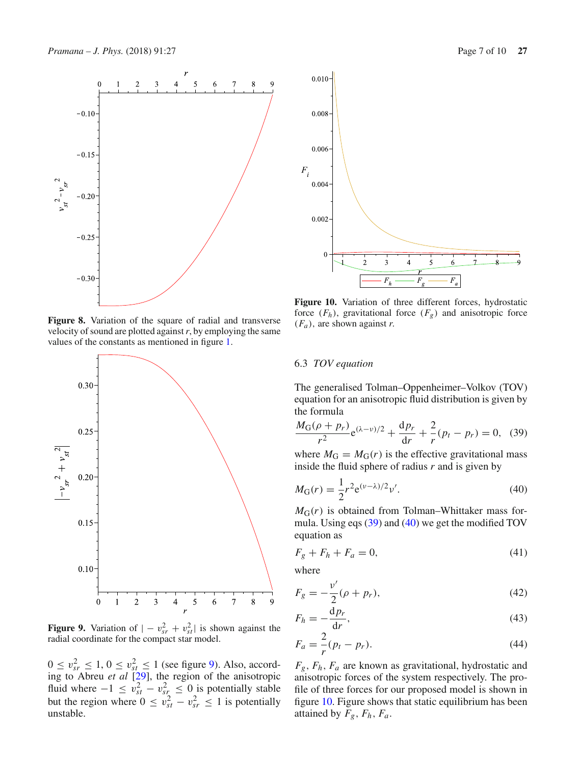

<span id="page-6-0"></span>**Figure 8.** Variation of the square of radial and transverse velocity of sound are plotted against*r*, by employing the same values of the constants as mentioned in figure [1.](#page-4-0)



<span id="page-6-1"></span>**Figure 9.** Variation of  $| - v_{sr}^2 + v_{st}^2|$  is shown against the radial coordinate for the compact star model.

 $0 \le v_{sr}^2 \le 1, 0 \le v_{st}^2 \le 1$  (see figure [9\)](#page-6-1). Also, according to Abreu *et al* [\[29](#page-9-27)], the region of the anisotropic fluid where  $-1 \le v_{st}^2 - v_{st}^2 \le 0$  is potentially stable but the region where  $0 \le v_{st}^2 - v_{sr}^2 \le 1$  is potentially unstable.



<span id="page-6-4"></span>**Figure 10.** Variation of three different forces, hydrostatic force  $(F_h)$ , gravitational force  $(F_g)$  and anisotropic force  $(F_a)$ , are shown against *r*.

## 6.3 *TOV equation*

The generalised Tolman–Oppenheimer–Volkov (TOV) equation for an anisotropic fluid distribution is given by the formula

<span id="page-6-2"></span>
$$
\frac{M_G(\rho + p_r)}{r^2} e^{(\lambda - \nu)/2} + \frac{dp_r}{dr} + \frac{2}{r}(p_t - p_r) = 0, \quad (39)
$$

where  $M_G = M_G(r)$  is the effective gravitational mass inside the fluid sphere of radius *r* and is given by

<span id="page-6-3"></span>
$$
M_{\rm G}(r) = \frac{1}{2}r^2 e^{(\nu - \lambda)/2} \nu'.\tag{40}
$$

 $M<sub>G</sub>(r)$  is obtained from Tolman–Whittaker mass formula. Using eqs [\(39\)](#page-6-2) and [\(40\)](#page-6-3) we get the modified TOV equation as

$$
F_g + F_h + F_a = 0,\t\t(41)
$$

where

$$
F_g = -\frac{v'}{2}(\rho + p_r),
$$
\n(42)

$$
F_h = -\frac{\mathrm{d}p_r}{\mathrm{d}r},\tag{43}
$$

$$
F_a = \frac{2}{r}(p_t - p_r). \tag{44}
$$

*Fg*, *Fh*, *Fa* are known as gravitational, hydrostatic and anisotropic forces of the system respectively. The profile of three forces for our proposed model is shown in figure [10.](#page-6-4) Figure shows that static equilibrium has been attained by  $F_g$ ,  $F_h$ ,  $F_a$ .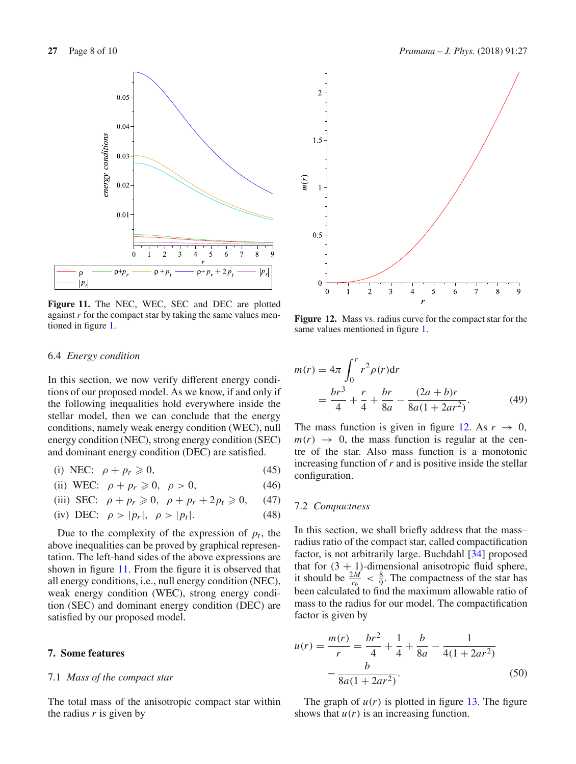

<span id="page-7-0"></span>**Figure 11.** The NEC, WEC, SEC and DEC are plotted against *r* for the compact star by taking the same values mentioned in figure [1.](#page-4-0)



<span id="page-7-1"></span>**Figure 12.** Mass vs. radius curve for the compact star for the same values mentioned in figure [1.](#page-4-0)

#### 6.4 *Energy condition*

In this section, we now verify different energy conditions of our proposed model. As we know, if and only if the following inequalities hold everywhere inside the stellar model, then we can conclude that the energy conditions, namely weak energy condition (WEC), null energy condition (NEC), strong energy condition (SEC) and dominant energy condition (DEC) are satisfied.

(i) NEC: 
$$
\rho + p_r \ge 0
$$
, (45)

(ii) WEC: 
$$
\rho + p_r \geq 0, \quad \rho > 0,
$$
 (46)

(iii) SEC: 
$$
\rho + p_r \ge 0
$$
,  $\rho + p_r + 2p_t \ge 0$ , (47)

(iv) DEC: 
$$
\rho > |p_r|, \ \rho > |p_t|.
$$
 (48)

Due to the complexity of the expression of  $p_t$ , the above inequalities can be proved by graphical representation. The left-hand sides of the above expressions are shown in figure [11.](#page-7-0) From the figure it is observed that all energy conditions, i.e., null energy condition (NEC), weak energy condition (WEC), strong energy condition (SEC) and dominant energy condition (DEC) are satisfied by our proposed model.

## **7. Some features**

#### 7.1 *Mass of the compact star*

The total mass of the anisotropic compact star within the radius *r* is given by

$$
m(r) = 4\pi \int_0^r r^2 \rho(r) dr
$$
  
=  $\frac{br^3}{4} + \frac{r}{4} + \frac{br}{8a} - \frac{(2a+b)r}{8a(1+2ar^2)}$ . (49)

The mass function is given in figure [12.](#page-7-1) As  $r \to 0$ ,  $m(r) \rightarrow 0$ , the mass function is regular at the centre of the star. Also mass function is a monotonic increasing function of *r* and is positive inside the stellar configuration.

## 7.2 *Compactness*

In this section, we shall briefly address that the mass– radius ratio of the compact star, called compactification factor, is not arbitrarily large. Buchdahl [\[34](#page-9-32)] proposed that for  $(3 + 1)$ -dimensional anisotropic fluid sphere, it should be  $\frac{2M}{r_b} < \frac{8}{9}$ . The compactness of the star has been calculated to find the maximum allowable ratio of mass to the radius for our model. The compactification factor is given by

$$
u(r) = \frac{m(r)}{r} = \frac{br^2}{4} + \frac{1}{4} + \frac{b}{8a} - \frac{1}{4(1 + 2ar^2)}
$$

$$
-\frac{b}{8a(1 + 2ar^2)}.
$$
(50)

The graph of  $u(r)$  is plotted in figure [13.](#page-8-0) The figure shows that  $u(r)$  is an increasing function.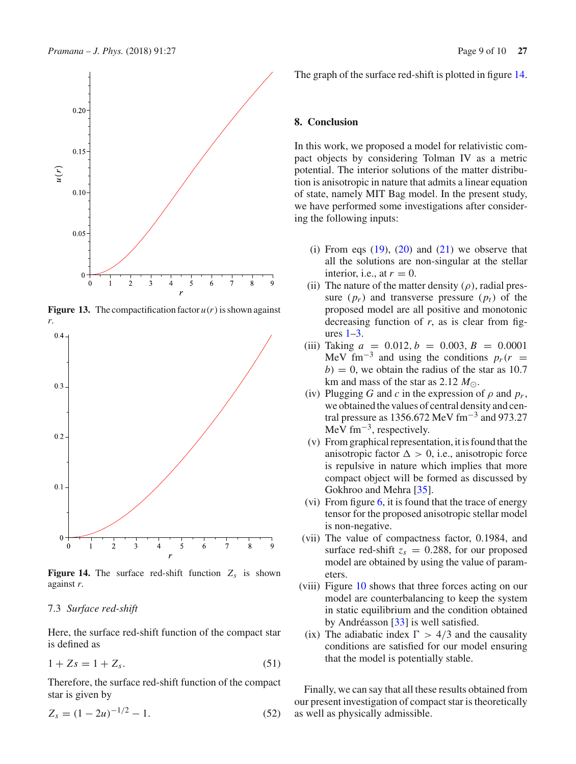

<span id="page-8-0"></span>**Figure 13.** The compactification factor  $u(r)$  is shown against *r*.



<span id="page-8-1"></span>**Figure 14.** The surface red-shift function  $Z_s$  is shown against *r*.

#### 7.3 *Surface red-shift*

Here, the surface red-shift function of the compact star is defined as

$$
1 + Zs = 1 + Z_s.
$$
 (51)

Therefore, the surface red-shift function of the compact star is given by

$$
Z_s = (1 - 2u)^{-1/2} - 1.
$$
 (52)

The graph of the surface red-shift is plotted in figure [14.](#page-8-1)

## **8. Conclusion**

In this work, we proposed a model for relativistic compact objects by considering Tolman IV as a metric potential. The interior solutions of the matter distribution is anisotropic in nature that admits a linear equation of state, namely MIT Bag model. In the present study, we have performed some investigations after considering the following inputs:

- (i) From eqs  $(19)$ ,  $(20)$  and  $(21)$  we observe that all the solutions are non-singular at the stellar interior, i.e., at  $r = 0$ .
- (ii) The nature of the matter density  $(\rho)$ , radial pressure  $(p_r)$  and transverse pressure  $(p_t)$  of the proposed model are all positive and monotonic decreasing function of *r*, as is clear from figures  $1-3$ .
- (iii) Taking  $a = 0.012, b = 0.003, B = 0.0001$ MeV fm<sup>-3</sup> and using the conditions  $p_r(r)$  =  $b = 0$ , we obtain the radius of the star as 10.7 km and mass of the star as 2.12  $M_{\odot}$ .
- (iv) Plugging *G* and *c* in the expression of  $\rho$  and  $p_r$ , we obtained the values of central density and central pressure as 1356.672 MeV fm−<sup>3</sup> and 973.27 MeV fm<sup> $-3$ </sup>, respectively.
- (v) From graphical representation, it is found that the anisotropic factor  $\Delta > 0$ , i.e., anisotropic force is repulsive in nature which implies that more compact object will be formed as discussed by Gokhroo and Mehra [\[35](#page-9-33)].
- (vi) From figure  $6$ , it is found that the trace of energy tensor for the proposed anisotropic stellar model is non-negative.
- (vii) The value of compactness factor, 0.1984, and surface red-shift  $z_s = 0.288$ , for our proposed model are obtained by using the value of parameters.
- (viii) Figure [10](#page-6-4) shows that three forces acting on our model are counterbalancing to keep the system in static equilibrium and the condition obtained by Andréasson [\[33\]](#page-9-31) is well satisfied.
- (ix) The adiabatic index  $\Gamma > 4/3$  and the causality conditions are satisfied for our model ensuring that the model is potentially stable.

Finally, we can say that all these results obtained from our present investigation of compact star is theoretically as well as physically admissible.